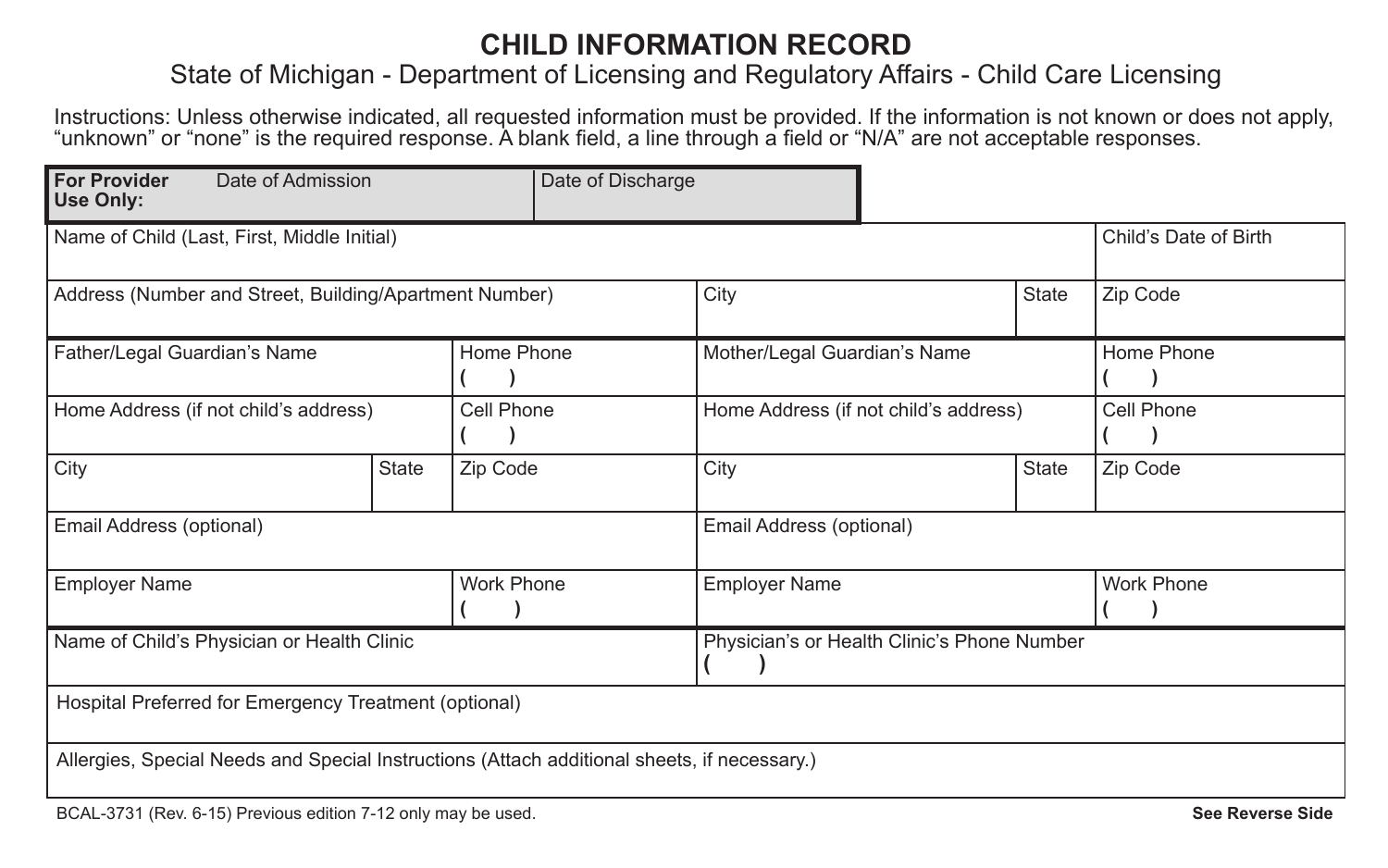## **child information record**

## State of Michigan - Department of Licensing and Regulatory Affairs - Child Care Licensing

Instructions: Unless otherwise indicated, all requested information must be provided. If the information is not known or does not apply, "unknown" or "none" is the required response. A blank field, a line through a field or "N/A" are not acceptable responses.

| <b>For Provider</b><br>Use Only:                                                            | Date of Admission                                      |                   |            | Date of Discharge    |                                             |       |                   |            |  |
|---------------------------------------------------------------------------------------------|--------------------------------------------------------|-------------------|------------|----------------------|---------------------------------------------|-------|-------------------|------------|--|
| Name of Child (Last, First, Middle Initial)                                                 | Child's Date of Birth                                  |                   |            |                      |                                             |       |                   |            |  |
|                                                                                             | Address (Number and Street, Building/Apartment Number) |                   |            | City                 |                                             | State | Zip Code          |            |  |
| Father/Legal Guardian's Name                                                                |                                                        |                   | Home Phone |                      | Mother/Legal Guardian's Name                |       |                   | Home Phone |  |
| Home Address (if not child's address)                                                       |                                                        |                   | Cell Phone |                      | Home Address (if not child's address)       |       |                   | Cell Phone |  |
| City                                                                                        |                                                        | State             | Zip Code   |                      | City                                        | State |                   | Zip Code   |  |
| Email Address (optional)                                                                    |                                                        |                   |            |                      | Email Address (optional)                    |       |                   |            |  |
| <b>Employer Name</b>                                                                        |                                                        | <b>Work Phone</b> |            | <b>Employer Name</b> |                                             |       | <b>Work Phone</b> |            |  |
| Name of Child's Physician or Health Clinic                                                  |                                                        |                   |            |                      | Physician's or Health Clinic's Phone Number |       |                   |            |  |
| Hospital Preferred for Emergency Treatment (optional)                                       |                                                        |                   |            |                      |                                             |       |                   |            |  |
| Allergies, Special Needs and Special Instructions (Attach additional sheets, if necessary.) |                                                        |                   |            |                      |                                             |       |                   |            |  |